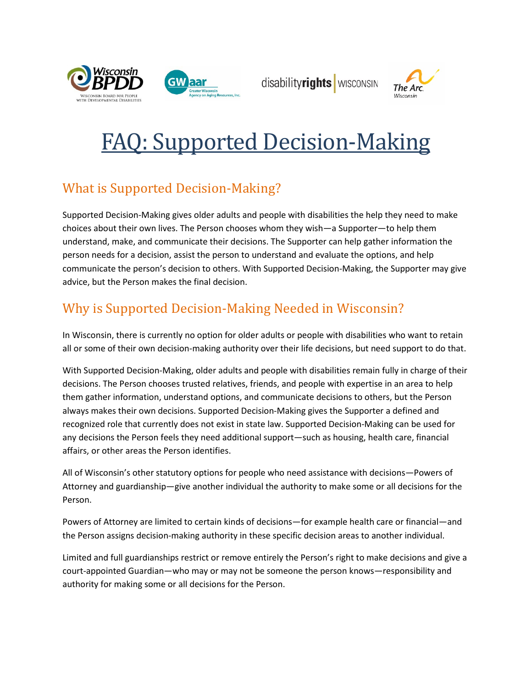



disabilityrights | WISCONSIN



# FAQ: Supported Decision-Making

## What is Supported Decision-Making?

Supported Decision-Making gives older adults and people with disabilities the help they need to make choices about their own lives. The Person chooses whom they wish—a Supporter—to help them understand, make, and communicate their decisions. The Supporter can help gather information the person needs for a decision, assist the person to understand and evaluate the options, and help communicate the person's decision to others. With Supported Decision-Making, the Supporter may give advice, but the Person makes the final decision.

## Why is Supported Decision-Making Needed in Wisconsin?

In Wisconsin, there is currently no option for older adults or people with disabilities who want to retain all or some of their own decision-making authority over their life decisions, but need support to do that.

With Supported Decision-Making, older adults and people with disabilities remain fully in charge of their decisions. The Person chooses trusted relatives, friends, and people with expertise in an area to help them gather information, understand options, and communicate decisions to others, but the Person always makes their own decisions. Supported Decision-Making gives the Supporter a defined and recognized role that currently does not exist in state law. Supported Decision-Making can be used for any decisions the Person feels they need additional support—such as housing, health care, financial affairs, or other areas the Person identifies.

All of Wisconsin's other statutory options for people who need assistance with decisions—Powers of Attorney and guardianship—give another individual the authority to make some or all decisions for the Person.

Powers of Attorney are limited to certain kinds of decisions—for example health care or financial—and the Person assigns decision-making authority in these specific decision areas to another individual.

Limited and full guardianships restrict or remove entirely the Person's right to make decisions and give a court-appointed Guardian—who may or may not be someone the person knows—responsibility and authority for making some or all decisions for the Person.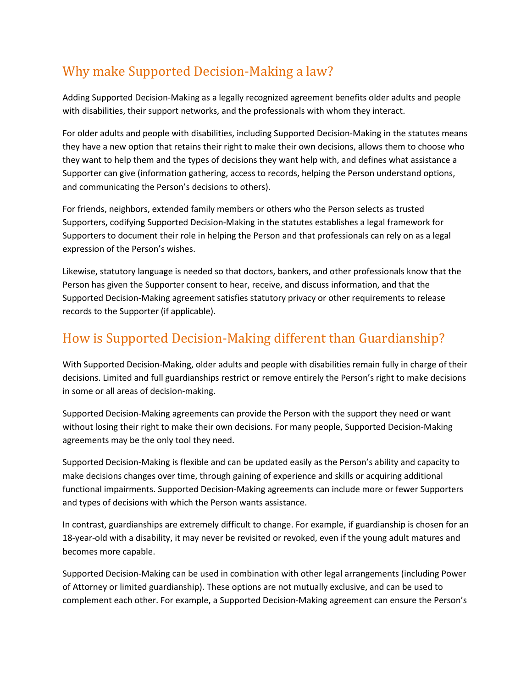## Why make Supported Decision-Making a law?

Adding Supported Decision-Making as a legally recognized agreement benefits older adults and people with disabilities, their support networks, and the professionals with whom they interact.

For older adults and people with disabilities, including Supported Decision-Making in the statutes means they have a new option that retains their right to make their own decisions, allows them to choose who they want to help them and the types of decisions they want help with, and defines what assistance a Supporter can give (information gathering, access to records, helping the Person understand options, and communicating the Person's decisions to others).

For friends, neighbors, extended family members or others who the Person selects as trusted Supporters, codifying Supported Decision-Making in the statutes establishes a legal framework for Supporters to document their role in helping the Person and that professionals can rely on as a legal expression of the Person's wishes.

Likewise, statutory language is needed so that doctors, bankers, and other professionals know that the Person has given the Supporter consent to hear, receive, and discuss information, and that the Supported Decision-Making agreement satisfies statutory privacy or other requirements to release records to the Supporter (if applicable).

#### How is Supported Decision-Making different than Guardianship?

With Supported Decision-Making, older adults and people with disabilities remain fully in charge of their decisions. Limited and full guardianships restrict or remove entirely the Person's right to make decisions in some or all areas of decision-making.

Supported Decision-Making agreements can provide the Person with the support they need or want without losing their right to make their own decisions. For many people, Supported Decision-Making agreements may be the only tool they need.

Supported Decision-Making is flexible and can be updated easily as the Person's ability and capacity to make decisions changes over time, through gaining of experience and skills or acquiring additional functional impairments. Supported Decision-Making agreements can include more or fewer Supporters and types of decisions with which the Person wants assistance.

In contrast, guardianships are extremely difficult to change. For example, if guardianship is chosen for an 18-year-old with a disability, it may never be revisited or revoked, even if the young adult matures and becomes more capable.

Supported Decision-Making can be used in combination with other legal arrangements (including Power of Attorney or limited guardianship). These options are not mutually exclusive, and can be used to complement each other. For example, a Supported Decision-Making agreement can ensure the Person's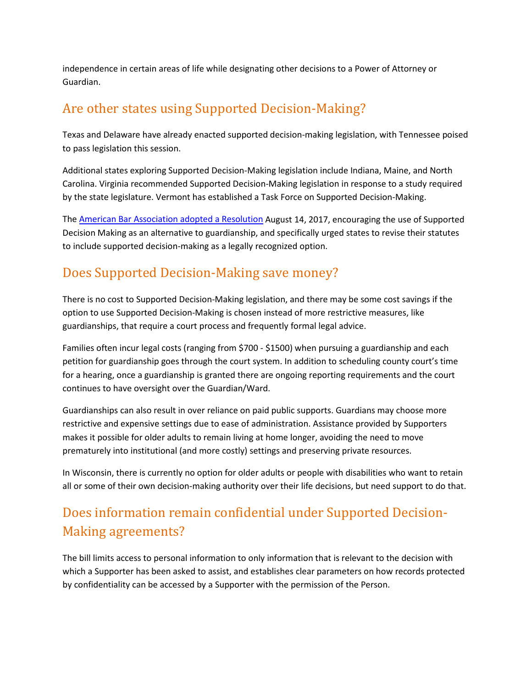independence in certain areas of life while designating other decisions to a Power of Attorney or Guardian.

#### Are other states using Supported Decision-Making?

Texas and Delaware have already enacted supported decision-making legislation, with Tennessee poised to pass legislation this session.

Additional states exploring Supported Decision-Making legislation include Indiana, Maine, and North Carolina. Virginia recommended Supported Decision-Making legislation in response to a study required by the state legislature. Vermont has established a Task Force on Supported Decision-Making.

The [American Bar Association adopted a Resolution](https://www.americanbar.org/groups/law_aging/publications/bifocal/vol_38/issue-6--august-2017-/aba-urges-supported-decision-making-as-less-restrictive-alternat.html) August 14, 2017, encouraging the use of Supported Decision Making as an alternative to guardianship, and specifically urged states to revise their statutes to include supported decision-making as a legally recognized option.

#### Does Supported Decision-Making save money?

There is no cost to Supported Decision-Making legislation, and there may be some cost savings if the option to use Supported Decision-Making is chosen instead of more restrictive measures, like guardianships, that require a court process and frequently formal legal advice.

Families often incur legal costs (ranging from \$700 - \$1500) when pursuing a guardianship and each petition for guardianship goes through the court system. In addition to scheduling county court's time for a hearing, once a guardianship is granted there are ongoing reporting requirements and the court continues to have oversight over the Guardian/Ward.

Guardianships can also result in over reliance on paid public supports. Guardians may choose more restrictive and expensive settings due to ease of administration. Assistance provided by Supporters makes it possible for older adults to remain living at home longer, avoiding the need to move prematurely into institutional (and more costly) settings and preserving private resources.

In Wisconsin, there is currently no option for older adults or people with disabilities who want to retain all or some of their own decision-making authority over their life decisions, but need support to do that.

# Does information remain confidential under Supported Decision-Making agreements?

The bill limits access to personal information to only information that is relevant to the decision with which a Supporter has been asked to assist, and establishes clear parameters on how records protected by confidentiality can be accessed by a Supporter with the permission of the Person.